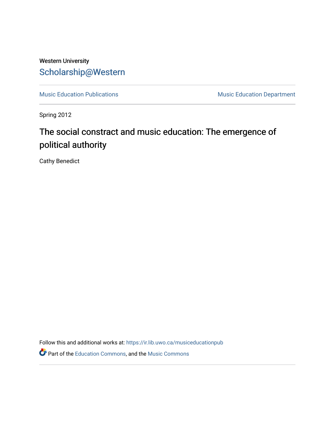## Western University [Scholarship@Western](https://ir.lib.uwo.ca/)

[Music Education Publications](https://ir.lib.uwo.ca/musiceducationpub) **Music Education Department** 

Spring 2012

# The social constract and music education: The emergence of political authority

Cathy Benedict

Follow this and additional works at: [https://ir.lib.uwo.ca/musiceducationpub](https://ir.lib.uwo.ca/musiceducationpub?utm_source=ir.lib.uwo.ca%2Fmusiceducationpub%2F1&utm_medium=PDF&utm_campaign=PDFCoverPages) Part of the [Education Commons](http://network.bepress.com/hgg/discipline/784?utm_source=ir.lib.uwo.ca%2Fmusiceducationpub%2F1&utm_medium=PDF&utm_campaign=PDFCoverPages), and the [Music Commons](http://network.bepress.com/hgg/discipline/518?utm_source=ir.lib.uwo.ca%2Fmusiceducationpub%2F1&utm_medium=PDF&utm_campaign=PDFCoverPages)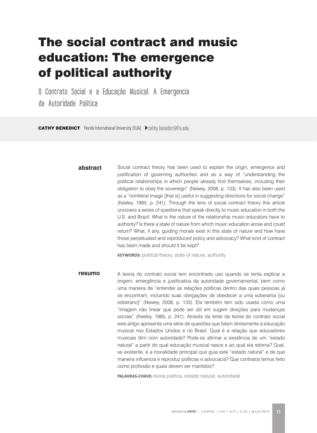# The social contract and music education: The emergence of political authority

O Contrato Social e a Educação Musical: A Emergencia da Autoridade Politica

CATHY BENEDICT Florida International University (EUA) ▶ cathy.benedict@fiu.edu

#### **abstract**

Social contract theory has been used to explain the origin, emergence and justification of governing authorities and as a way of "understanding the political relationships in which people already find themselves, including their obligation to obey the sovereign" (Newey, 2008, p. 133). It has also been used as a "nonliteral image [that is] useful in suggesting directions for social change" (Keeley, 1985, p. 241). Through the lens of social contract theory this article uncovers a series of questions that speak directly to music education in both the U.S. and Brazil. What is the nature of the relationship music educators have to authority? Is there a state of nature from which music education arose and could return? What, if any, guiding morals exist in this state of nature and how have those perpetuated and reproduced policy and advocacy? What kind of contract has been made and should it be kept?

**KEYWORDS:** political theory, state of nature, authority

**resumo** A teoria do contrato social tem encontrado uso quando se tenta explicar a origem, emergência e justificativa da autoridade governamental, bem como uma maneira de "entender as relações políticas dentro das quais pessoas já se encontram, incluindo suas obrigações de obedecer a uma soberania [ou soberano]" (Newey, 2008, p. 133). Ela também tem sido usada como uma "imagem não linear que pode ser útil em sugerir direções para mudanças sociais" (Keeley, 1985, p. 241). Através da lente da teoria do contrato social este artigo apresenta uma série de questões que falam diretamente à educação musical nos Estados Unidos e no Brasil. Qual é a relação que educadores musicais têm com autoridade? Pode-se afirmar a existência de um "estado natural" a partir do qual educação musical nasce e ao qual ela retorna? Qual, se existente, é a moralidade principal que guia este "estado natural" e de que maneira influencia e reproduz políticas e advocacia? Que contratos temos feito como profissão e quais devem ser mantidos?

**Palavras-chave:** teoria política, estado natural, autoridade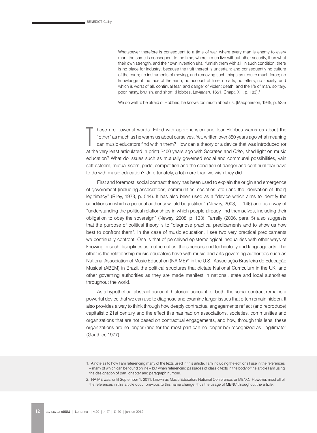Whatsoever therefore is consequent to a time of war, where every man is enemy to every man; the same is consequent to the time, wherein men live without other security, than what their own strength, and their own invention shall furnish them with all. In such condition, there is no place for industry; because the fruit thereof is uncertain: and consequently no culture of the earth; no instruments of moving, and removing such things as require much force; no knowledge of the face of the earth; no account of time; no arts; no letters; no society; and which is worst of all, continual fear, and danger of violent death; and the life of man, solitary, poor, nasty, brutish, and short. (Hobbes, *Leviathan*, 1651, Chapt. XIII, p. 183).1

We do well to be afraid of Hobbes; he knows too much about us. (Macpherson, 1945, p. 525)

 $\prod_{\alpha\in\mathbb{Z}}$ hose are powerful words. Filled with apprehension and fear Hobbes warns us about the "other" as much as he warns us about ourselves. Yet, written over 350 years ago what meaning can music educators find within them? How can a theory or a device that was introduced (or at the very least articulated in print) 2400 years ago with Socrates and *Crito*, shed light on music education? What do issues such as mutually governed social and communal possibilities, vain self-esteem, mutual scorn, pride, competition and the condition of danger and continual fear have to do with music education? Unfortunately, a lot more than we wish they did.

First and foremost, social contract theory has been used to explain the origin and emergence of government (including associations, communities, societies, etc.) and the "derivation of [their] legitimacy" (Riley, 1973, p. 544). It has also been used as a "device which aims to identify the conditions in which a political authority would be justified" (Newey, 2008, p. 146) and as a way of "understanding the political relationships in which people already find themselves, including their obligation to obey the sovereign" (Newey, 2008, p. 133). Farrelly (2006, para. 5) also suggests that the purpose of political theory is to "diagnose practical predicaments and to show us how best to confront them". In the case of music education, I see two very practical predicaments we continually confront. One is that of perceived epistemological inequalities with other ways of knowing in such disciplines as mathematics, the sciences and technology and language arts. The other is the relationship music educators have with music and arts governing authorities such as National Association of Music Education (NAfME)<sup>2</sup> in the U.S., Associação Brasileira de Educação Musical (ABEM) in Brazil, the political structures that dictate National Curriculum in the UK, and other governing authorities as they are made manifest in national, state and local authorities throughout the world.

As a hypothetical abstract account, historical account, or both, the social contract remains a powerful device that we can use to diagnose and examine larger issues that often remain hidden. It also provides a way to think through how deeply contractual engagements reflect (and reproduce) capitalistic 21st century and the effect this has had on associations, societies, communities and organizations that are not based on contractual engagements, and how, through this lens, these organizations are no longer (and for the most part can no longer be) recognized as "legitimate" (Gauthier, 1977).

<sup>1.</sup> A note as to how I am referencing many of the texts used in this article. I am including the editions I use in the references – many of which can be found online – but when referencing passages of classic texts in the body of the article I am using the designation of part, chapter and paragraph number.

<sup>2.</sup> NAfME was, until September 1, 2011, known as Music Educators National Conference, or MENC. However, most all of the references in this article occur previous to this name change, thus the usage of MENC throughout the article.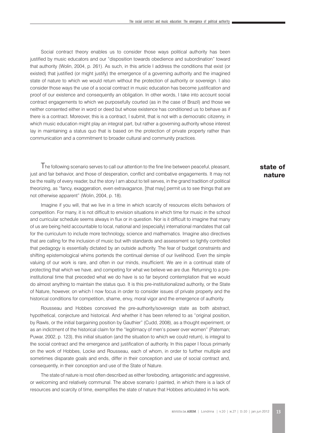Social contract theory enables us to consider those ways political authority has been justified by music educators and our "disposition towards obedience and subordination" toward that authority (Wolin, 2004, p. 261). As such, in this article I address the conditions that exist (or existed) that justified (or might justify) the emergence of a governing authority and the imagined state of nature to which we would return without the protection of authority or sovereign. I also consider those ways the use of a social contract in music education has become justification and proof of our existence and consequently an obligation. In other words, I take into account social contract engagements to which we purposefully courted (as in the case of Brazil) and those we neither consented either in word or deed but whose existence has conditioned us to behave as if there is a contract. Moreover, this is a contract, I submit, that is not with a democratic citizenry, in which music education might play an integral part, but rather a governing authority whose interest lay in maintaining a status quo that is based on the protection of private property rather than communication and a commitment to broader cultural and community practices.

The following scenario serves to call our attention to the fine line between peaceful, pleasant, just and fair behavior, and those of desperation, conflict and combative engagements. It may not be the reality of every reader, but the story I am about to tell serves, in the grand tradition of political theorizing, as "fancy, exaggeration, even extravagance, [that may] permit us to see things that are not otherwise apparent" (Wolin, 2004, p. 18).

Imagine if you will, that we live in a time in which scarcity of resources elicits behaviors of competition. For many, it is not difficult to envision situations in which time for music in the school and curricular schedule seems always in flux or in question. Nor is it difficult to imagine that many of us are being held accountable to local, national and (especially) international mandates that call for the curriculum to include more technology, science and mathematics. Imagine also directives that are calling for the inclusion of music but with standards and assessment so tightly controlled that pedagogy is essentially dictated by an outside authority. The fear of budget constraints and shifting epistemological whims portends the continual demise of our livelihood. Even the simple valuing of our work is rare, and often in our minds, insufficient. We are in a continual state of protecting that which we have, and competing for what we believe we are due. Returning to a preinstitutional time that preceded what we do have is so far beyond contemplation that we would do almost anything to maintain the status quo. It is this pre-institutionalized authority, or the State of Nature, however, on which I now focus in order to consider issues of private property and the historical conditions for competition, shame, envy, moral vigor and the emergence of authority.

Rousseau and Hobbes conceived the pre-authority/sovereign state as both abstract, hypothetical, conjecture and historical. And whether it has been referred to as "original position, by Rawls, or the initial bargaining position by Gauthier" (Cudd, 2008), as a thought experiment, or as an indictment of the historical claim for the "legitimacy of men's power over women" (Pateman; Puwar, 2002, p. 123), this initial situation (and the situation to which we could return), is integral to the social contract and the emergence and justification of authority. In this paper I focus primarily on the work of Hobbes, Locke and Rousseau, each of whom, in order to further multiple and sometimes disparate goals and ends, differ in their conception and use of social contract and, consequently, in their conception and use of the State of Nature.

The state of nature is most often described as either foreboding, antagonistic and aggressive, or welcoming and relatively communal. The above scenario I painted, in which there is a lack of resources and scarcity of time, exemplifies the state of nature that Hobbes articulated in his work.

## state of nature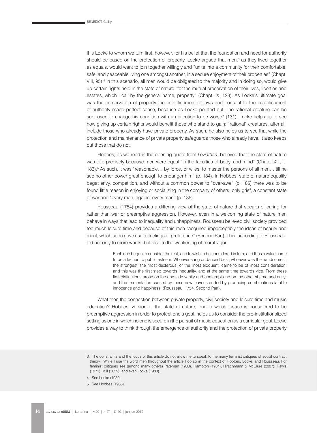It is Locke to whom we turn first, however, for his belief that the foundation and need for authority should be based on the protection of property. Locke argued that men, $3$  as they lived together as equals, would want to join together willingly and "unite into a community for their comfortable, safe, and peaceable living one amongst another, in a secure enjoyment of their properties" (Chapt. VIII, 95).<sup>4</sup> In this scenario, all men would be obligated to the majority and in doing so, would give up certain rights held in the state of nature "for the mutual preservation of their lives, liberties and estates, which I call by the general name, property" (Chapt. IX, 123). As Locke's ultimate goal was the preservation of property the establishment of laws and consent to the establishment of authority made perfect sense, because as Locke pointed out, "no rational creature can be supposed to change his condition with an intention to be worse" (131). Locke helps us to see how giving up certain rights would benefit those who stand to gain; "rational" creatures, after all, include those who already have private property. As such, he also helps us to see that while the protection and maintenance of private property safeguards those who already have, it also keeps out those that do not.

Hobbes, as we read in the opening quote from *Leviathan*, believed that the state of nature was dire precisely because men were equal "in the faculties of body, and mind" (Chapt. XIII, p. 183).<sup>5</sup> As such, it was "reasonable... by force, or wiles, to master the persons of all men... till he see no other power great enough to endanger him" (p. 184). In Hobbes' state of nature equality begat envy, competition, and without a common power to "over-awe" (p. 185) there was to be found little reason in enjoying or socializing in the company of others, only grief, a constant state of war and "every man, against every man" (p. 186).

Rousseau (1754) provides a differing view of the state of nature that speaks of caring for rather than war or preemptive aggression. However, even in a welcoming state of nature men behave in ways that lead to inequality and unhappiness. Rousseau believed civil society provided too much leisure time and because of this men "acquired imperceptibly the ideas of beauty and merit, which soon gave rise to feelings of preference" (Second Part). This, according to Rousseau, led not only to more wants, but also to the weakening of moral vigor.

> Each one began to consider the rest, and to wish to be considered in turn; and thus a value came to be attached to public esteem. Whoever sang or danced best, whoever was the handsomest, the strongest, the most dexterous, or the most eloquent, came to be of most consideration; and this was the first step towards inequality, and at the same time towards vice. From these first distinctions arose on the one side vanity and contempt and on the other shame and envy: and the fermentation caused by these new leavens ended by producing combinations fatal to innocence and happiness. (Rousseau, 1754, Second Part).

What then the connection between private property, civil society and leisure time and music education? Hobbes' version of the state of nature, one in which justice is considered to be preemptive aggression in order to protect one's goal, helps us to consider the pre-institutionalized setting as one in which no one is secure in the pursuit of music education as a curricular goal. Locke provides a way to think through the emergence of authority and the protection of private property

- 4. See Locke (1980).
- 5. See Hobbes (1985).

<sup>3.</sup> The constraints and the focus of this article do not allow me to speak to the many feminist critiques of social contract theory. While I use the word men throughout the article I do so in the context of Hobbes, Locke, and Rousseau. For feminist critiques see (among many others) Pateman (1988), Hampton (1984), Hirschmann & McClure (2007), Rawls (1971), Mill (1859), and even Locke (1980).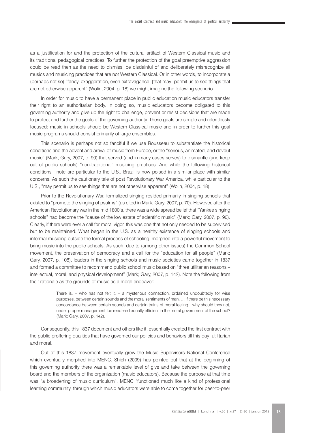as a justification for and the protection of the cultural artifact of Western Classical music and its traditional pedagogical practices. To further the protection of the goal preemptive aggression could be read then as the need to dismiss, be disdainful of and deliberately misrecognize all musics and musicing practices that are not Western Classical. Or in other words, to incorporate a (perhaps not so) "fancy, exaggeration, even extravagance, [that may] permit us to see things that are not otherwise apparent" (Wolin, 2004, p. 18) we might imagine the following scenario:

In order for music to have a permanent place in public education music educators transfer their right to an authoritarian body. In doing so, music educators become obligated to this governing authority and give up the right to challenge, prevent or resist decisions that are made to protect and further the goals of the governing authority. These goals are simple and relentlessly focused: music in schools should be Western Classical music and in order to further this goal music programs should consist primarily of large ensembles.

This scenario is perhaps not so fanciful if we use Rousseau to substantiate the historical conditions and the advent and arrival of music from Europe, or the "serious, animated, and devout music" (Mark; Gary, 2007, p. 90) that served (and in many cases serves) to dismantle (and keep out of public schools) "non-traditional" musicing practices. And while the following historical conditions I note are particular to the U.S., Brazil is now poised in a similar place with similar concerns. As such the cautionary tale of post Revolutionary War America, while particular to the U.S., "may permit us to see things that are not otherwise apparent" (Wolin, 2004, p. 18).

Prior to the Revolutionary War, formalized singing resided primarily in singing schools that existed to "promote the singing of psalms" (as cited in Mark; Gary, 2007, p. 70). However, after the American Revolutionary war in the mid 1800's, there was a wide spread belief that "Yankee singing schools" had become the "cause of the low estate of scientific music" (Mark; Gary, 2007, p. 90). Clearly, if there were ever a call for moral vigor, this was one that not only needed to be supervised but to be maintained. What began in the U.S. as a healthy existence of singing schools and informal musicing outside the formal process of schooling, morphed into a powerful movement to bring music into the public schools. As such, due to (among other issues) the Common School movement, the preservation of democracy and a call for the "education for all people" (Mark; Gary, 2007, p. 108), leaders in the singing schools and music societies came together in 1837 and formed a committee to recommend public school music based on "three utilitarian reasons – intellectual, moral, and physical development" (Mark; Gary, 2007, p. 142). Note the following from their rationale as the grounds of music as a moral endeavor:

> There is, – who has not felt it, – a mysterious connection, ordained undoubtedly for wise purposes, between certain sounds and the moral sentiments of man. … if there be this necessary concordance between certain sounds and certain trains of moral feeling…why should they not, under proper management, be rendered equally efficient in the moral government of the school? (Mark; Gary, 2007, p. 142).

Consequently, this 1837 document and others like it, essentially created the first contract with the public proffering qualities that have governed our policies and behaviors till this day: utilitarian and moral.

Out of this 1837 movement eventually grew the Music Supervisors National Conference which eventually morphed into MENC. Shieh (2009) has pointed out that at the beginning of this governing authority there was a remarkable level of give and take between the governing board and the members of the organization (music educators). Because the purpose at that time was "a broadening of music curriculum", MENC "functioned much like a kind of professional learning community, through which music educators were able to come together for peer-to-peer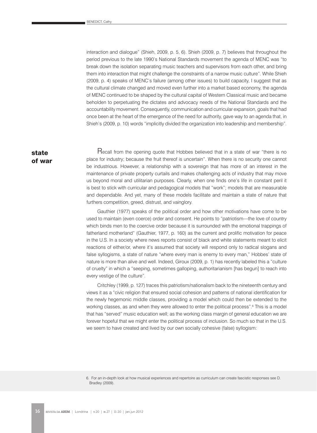interaction and dialogue" (Shieh, 2009, p. 5, 6). Shieh (2009, p. 7) believes that throughout the period previous to the late 1990's National Standards movement the agenda of MENC was "to break down the isolation separating music teachers and supervisors from each other, and bring them into interaction that might challenge the constraints of a narrow music culture". While Shieh (2009, p. 4) speaks of MENC's failure (among other issues) to build capacity, I suggest that as the cultural climate changed and moved even further into a market based economy, the agenda of MENC continued to be shaped by the cultural capital of Western Classical music and became beholden to perpetuating the dictates and advocacy needs of the National Standards and the accountability movement. Consequently, communication and curricular expansion, goals that had once been at the heart of the emergence of the need for authority, gave way to an agenda that, in Shieh's (2009, p. 10) words "implicitly divided the organization into leadership and membership".

state of war

Recall from the opening quote that Hobbes believed that in a state of war "there is no place for industry; because the fruit thereof is uncertain". When there is no security one cannot be industrious. However, a relationship with a sovereign that has more of an interest in the maintenance of private property curtails and makes challenging acts of industry that may move us beyond moral and utilitarian purposes. Clearly, when one finds one's life in constant peril it is best to stick with curricular and pedagogical models that "work"; models that are measurable and dependable. And yet, many of these models facilitate and maintain a state of nature that furthers competition, greed, distrust, and vainglory.

Gauthier (1977) speaks of the political order and how other motivations have come to be used to maintain (even coerce) order and consent. He points to "patriotism—the love of country which binds men to the coercive order because it is surrounded with the emotional trappings of fatherland motherland" (Gauthier, 1977, p. 160) as the current and prolific motivation for peace in the U.S. In a society where news reports consist of black and white statements meant to elicit reactions of either/or, where it's assumed that society will respond only to radical slogans and false syllogisms, a state of nature "where every man is enemy to every man," Hobbes' state of nature is more than alive and well. Indeed, Giroux (2009, p. 1) has recently labeled this a "culture of cruelty" in which a "seeping, sometimes galloping, authoritarianism [has begun] to reach into every vestige of the culture".

Critchley (1999, p. 127) traces this patriotism/nationalism back to the nineteenth century and views it as a "civic religion that ensured social cohesion and patterns of national identification for the newly hegemonic middle classes, providing a model which could then be extended to the working classes, as and when they were allowed to enter the political process".<sup>6</sup> This is a model that has "served" music education well; as the working class margin of general education we are forever hopeful that we might enter the political process of inclusion. So much so that in the U.S. we seem to have created and lived by our own socially cohesive (false) syllogism:

<sup>6.</sup> For an in-depth look at how musical experiences and repertoire as curriculum can create fascistic responses see D. Bradley (2009).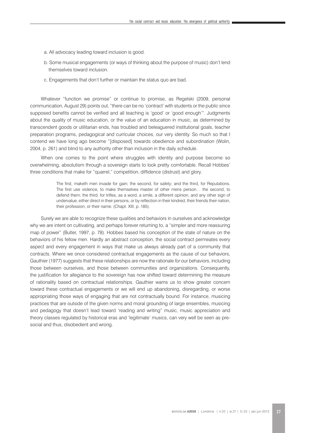- a. All advocacy leading toward inclusion is good.
- b. Some musical engagements (or ways of thinking about the purpose of music) don't lend themselves toward inclusion.
- c. Engagements that don't further or maintain the status quo are bad.

Whatever "function we promise" or continue to promise, as Regelski (2009, personal communication, August 29) points out, "there can be no 'contract' with students or the public since supposed benefits cannot be verified and all teaching is 'good' or 'good enough'". Judgments about the quality of music education, or the value of an education in music, as determined by transcendent goods or utilitarian ends, has troubled and beleaguered institutional goals, teacher preparation programs, pedagogical and curricular choices, our very identity. So much so that I contend we have long ago become "[disposed] towards obedience and subordination (Wolin, 2004, p. 261) and blind to any authority other than inclusion in the daily schedule.

When one comes to the point where struggles with identity and purpose become so overwhelming, absolutism through a sovereign starts to look pretty comfortable. Recall Hobbes' three conditions that make for "quarrel," competition, diffidence (distrust) and glory.

> The first, maketh men invade for gain; the second, for safety; and the third, for Reputations. The first use violence, to make themselves master of other mens person… the second, to defend them; the third, for trifles, as a word, a smile, a different opinion, and any other sign of undervalue, either direct in their persons, or by reflection in their kindred, their friends their nation, their profession, or their name. (Chapt. XIII, p. 185).

Surely we are able to recognize these qualities and behaviors in ourselves and acknowledge why we are intent on cultivating, and perhaps forever returning to, a "simpler and more reassuring map of power" (Butler, 1997, p. 78). Hobbes based his conception of the state of nature on the behaviors of his fellow men. Hardly an abstract conception, the social contract permeates every aspect and every engagement in ways that make us always already part of a community that contracts. Where we once considered contractual engagements as the cause of our behaviors, Gauthier (1977) suggests that these relationships are now the rationale *for* our behaviors, including those between ourselves, and those between communities and organizations. Consequently, the justification for allegiance to the sovereign has now shifted toward determining the measure of rationality based on contractual relationships. Gauthier warns us to show greater concern toward these contractual engagements or we will end up abandoning, disregarding, or worse appropriating those ways of engaging that are not contractually bound. For instance, musicing practices that are outside of the given norms and moral grounding of large ensembles, musicing and pedagogy that doesn't lead toward 'reading and writing" music, music appreciation and theory classes regulated by historical eras and 'legitimate' musics, can very well be seen as presocial and thus, disobedient and wrong.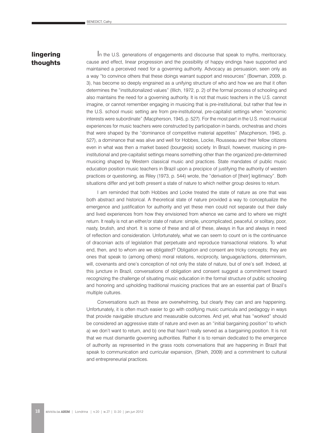### lingering thoughts

In the U.S. generations of engagements and discourse that speak to myths, meritocracy, cause and effect, linear progression and the possibility of happy endings have supported and maintained a perceived need for a governing authority. Advocacy as persuasion, seen only as a way "to convince others that these doings warrant support and resources" (Bowman, 2009, p. 3), has become so deeply engrained as a unifying structure of who and how we are that it often determines the "institutionalized values" (Illich, 1972, p. 2) of the formal process of schooling and also maintains the need for a governing authority. It is not that music teachers in the U.S. cannot imagine, or cannot remember engaging in musicing that is pre-institutional, but rather that few in the U.S. school music setting are from pre-institutional, pre-capitalist settings when "economic interests were subordinate" (Macpherson, 1945, p. 527). For the most part in the U.S. most musical experiences for music teachers were constructed by participation in bands, orchestras and choirs that were shaped by the "dominance of competitive material appetites" (Macpherson, 1945, p. 527), a dominance that was alive and well for Hobbes, Locke, Rousseau and their fellow citizens even in what was then a market based (bourgeois) society. In Brazil, however, musicing in preinstitutional and pre-capitalist settings means something other than the organized pre-determined musicing shaped by Western classical music and practices. State mandates of public music education position music teachers in Brazil upon a precipice of justifying the authority of western practices or questioning, as Riley (1973, p. 544) wrote, the "derivation of [their] legitimacy". Both situations differ and yet both present a state of nature to which neither group desires to return.

I am reminded that both Hobbes and Locke treated the state of nature as one that was both abstract and historical. A theoretical state of nature provided a way to conceptualize the emergence and justification for authority and yet these men could not separate out their daily and lived experiences from how they envisioned from whence we came and to where we might return. It really is not an either/or state of nature: simple, uncomplicated, peaceful, or solitary, poor, nasty, brutish, and short. It is some of these and all of these, always in flux and always in need of reflection and consideration. Unfortunately, what we can seem to count on is the continuance of draconian acts of legislation that perpetuate and reproduce transactional relations. To what end, then, and to whom are we obligated? Obligation and consent are tricky concepts; they are ones that speak to (among others) moral relations, reciprocity, language/actions, determinism, will, covenants and one's conception of not only the state of nature, but of one's self. Indeed, at this juncture in Brazil, conversations of obligation and consent suggest a commitment toward recognizing the challenge of situating music education in the formal structure of public schooling and honoring and upholding traditional musicing practices that are an essential part of Brazil's multiple cultures.

Conversations such as these are overwhelming, but clearly they can and are happening. Unfortunately, it is often much easier to go with codifying music curricula and pedagogy in ways that provide navigable structure and measurable outcomes. And yet, what has "worked" should be considered an aggressive state of nature and even as an "initial bargaining position" to which a) we don't want to return, and b) one that hasn't really served as a bargaining position. It is not that we must dismantle governing authorities. Rather it is to remain dedicated to the emergence of authority as represented in the grass roots conversations that are happening in Brazil that speak to communication and curricular expansion, (Shieh, 2009) and a commitment to cultural and entrepreneurial practices.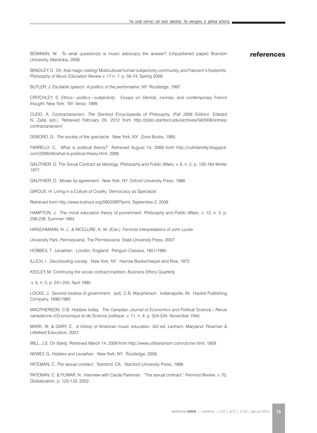BOWMAN, W. To what question(s) is music advocacy the answer? (Unpublished paper) Brandon University, Manitoba, 2009.

#### references

BRADLEY, D. Oh, that magic reeling! Multicultural human subjectivity community, and Fascism's footprints. *Philosophy of Music Education Review* v. 17,n. 1, p. 56-74, Spring 2009.

BUTLER, J. *Excitable speech: A politics of the performative.* NY: Routledge, 1997.

CRITCHLEY, S. *Ethics—politics—subjectivity: Essays on Derrida, Levinas, and contemporary French thought*. New York: NY: Verso, 1999.

CUDD, A. Contractarianism. *The Stanford Encyclopedia of Philosophy. (Fall 2008 Edition)*, Edward N. Zalta (ed.). Retrieved February 29, 2012 from http://plato.stanford.edu/archives/fall2008/entries/ contractarianism/

DEBORD, G. *The society of the spectacle*. New York, NY: Zone Books, 1995.

FARRELLY, C. What is political theory? Retrieved August 14, 2009 from http://colinfarrelly.blogspot. com/2006/04/what-is-political-theory.html, 2006.

GAUTHIER, D. The Social Contract as Ideology. *Philosophy and Public Affairs*, v. 6, n. 2, p. 130-164 Winter 1977.

GAUTHIER, D. *Morals by agreement*. New York, NY: Oxford University Press, 1986.

GIROUX, H. Living in a Culture of Cruelty: Democracy as Spectacle.

Retrieved from http://www.truthout.org/090209R?print, September 2, 2009.

HAMPTON, J. The moral education theory of punishment. *Philosophy and Public Affairs*, v. 13, n. 3, p. 208-238, Summer 1984.

HIRSCHMANN, N. J., & MCCLURE, K. M. (Eds.). *Feminist interpretations of John Locke*.

University Park, Pennslyvania: The Pennslyvania State University Press, 2007.

HOBBES, T. *Leviathan.* London, England: Penguin Classics, 1651/1985.

ILLICH, I. *Decshooling society*. New York, NY: Harrow Books/Harper and Row, 1972.

KEELEY, M. Continuing the social contract tradition. *Business Ethics Quarterly*,

v. 5, n. 2, p. 241-255, April 1995.

LOCKE, J. Second treatise of government. (ed). C.B. Macpherson. Indianapolis, IN: Hacket Publishing Company, 1690/1980.

MACPHERSON, C.B. Hobbes today. *The Canadian Journal of Economics and Political Science / Revue canadienne d'Economique et de Science politique*, v. 11, n. 4, p. 524-534, November 1945.

MARK, M. & GARY, C. *A history of American music education*. 3rd ed. Lanham, Maryland: Rowman & Littlefield Education, 2007.

MILL, J.S. *On liberty.* Retrieved March 14, 2009 from http://www.utilitarianism.com/ol/one.html, 1859.

NEWEY, G. *Hobbes and Leviathan*. New York, NY: Routledge, 2008.

PATEMAN, C. *The sexual contract*. Stanford, CA: Stanford University Press, 1988.

PATEMAN, C. & PUWAR, N. Interview with Carole Pateman: "The sexual contract," *Feminist Review*, v. 70, Globalization, p. 123-133, 2002.